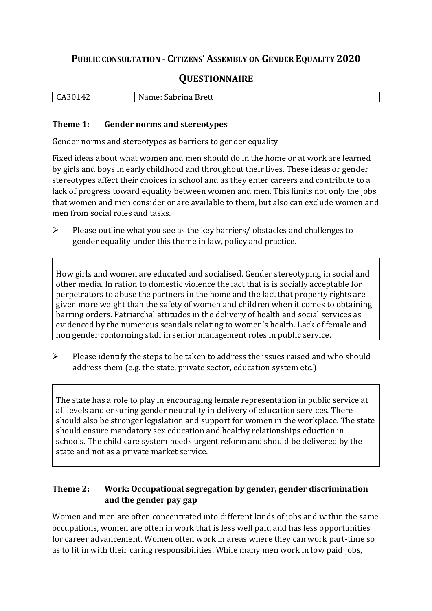## **PUBLIC CONSULTATION - CITIZENS' ASSEMBLY ON GENDER EQUALITY 2020**

# **QUESTIONNAIRE**

| ,,,<br>$\mathbf{r}$<br>$\mathbf{\Lambda}$<br>. .<br>-<br>ິ | Sabrina Brett<br>-N<br>7 ، ۲<br>- |
|------------------------------------------------------------|-----------------------------------|
|                                                            |                                   |

#### **Theme 1: Gender norms and stereotypes**

Gender norms and stereotypes as barriers to gender equality

Fixed ideas about what women and men should do in the home or at work are learned by girls and boys in early childhood and throughout their lives. These ideas or gender stereotypes affect their choices in school and as they enter careers and contribute to a lack of progress toward equality between women and men. This limits not only the jobs that women and men consider or are available to them, but also can exclude women and men from social roles and tasks.

➢ Please outline what you see as the key barriers/ obstacles and challenges to gender equality under this theme in law, policy and practice.

How girls and women are educated and socialised. Gender stereotyping in social and other media. In ration to domestic violence the fact that is is socially acceptable for perpetrators to abuse the partners in the home and the fact that property rights are given more weight than the safety of women and children when it comes to obtaining barring orders. Patriarchal attitudes in the delivery of health and social services as evidenced by the numerous scandals relating to women's health. Lack of female and non gender conforming staff in senior management roles in public service.

➢ Please identify the steps to be taken to address the issues raised and who should address them (e.g. the state, private sector, education system etc.)

The state has a role to play in encouraging female representation in public service at all levels and ensuring gender neutrality in delivery of education services. There should also be stronger legislation and support for women in the workplace. The state should ensure mandatory sex education and healthy relationships eduction in schools. The child care system needs urgent reform and should be delivered by the state and not as a private market service.

#### **Theme 2: Work: Occupational segregation by gender, gender discrimination and the gender pay gap**

Women and men are often concentrated into different kinds of jobs and within the same occupations, women are often in work that is less well paid and has less opportunities for career advancement. Women often work in areas where they can work part-time so as to fit in with their caring responsibilities. While many men work in low paid jobs,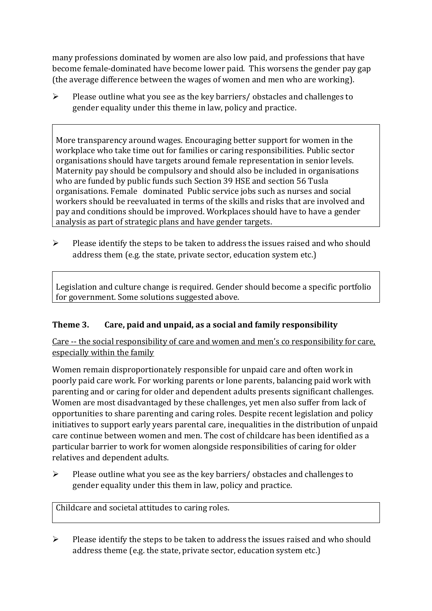many professions dominated by women are also low paid, and professions that have become female-dominated have become lower paid. This worsens the gender pay gap (the average difference between the wages of women and men who are working).

➢ Please outline what you see as the key barriers/ obstacles and challenges to gender equality under this theme in law, policy and practice.

More transparency around wages. Encouraging better support for women in the workplace who take time out for families or caring responsibilities. Public sector organisations should have targets around female representation in senior levels. Maternity pay should be compulsory and should also be included in organisations who are funded by public funds such Section 39 HSE and section 56 Tusla organisations. Female dominated Public service jobs such as nurses and social workers should be reevaluated in terms of the skills and risks that are involved and pay and conditions should be improved. Workplaces should have to have a gender analysis as part of strategic plans and have gender targets.

 $\triangleright$  Please identify the steps to be taken to address the issues raised and who should address them (e.g. the state, private sector, education system etc.)

Legislation and culture change is required. Gender should become a specific portfolio for government. Some solutions suggested above.

## **Theme 3. Care, paid and unpaid, as a social and family responsibility**

Care -- the social responsibility of care and women and men's co responsibility for care, especially within the family

Women remain disproportionately responsible for unpaid care and often work in poorly paid care work. For working parents or [lone parents,](https://aran.library.nuigalway.ie/bitstream/handle/10379/6044/Millar_and_Crosse_Activation_Report.pdf?sequence=1&isAllowed=y) balancing paid work with parenting and or caring for older and dependent adults presents significant challenges. Women are [most disadvantaged by these challenges,](https://eige.europa.eu/gender-equality-index/game/IE/W) yet men also suffer from lack of opportunities to share parenting and caring roles. Despite recent legislation and policy initiatives to support early years parental care, [inequalities in the distribution of unpaid](https://www.ihrec.ie/app/uploads/2019/07/Caring-and-Unpaid-Work-in-Ireland_Final.pdf)  [care](https://www.ihrec.ie/app/uploads/2019/07/Caring-and-Unpaid-Work-in-Ireland_Final.pdf) continue between women and men. The cost of childcare has been identified as a particular barrier to work for women alongside responsibilities of caring for older relatives and dependent adults.

➢ Please outline what you see as the key barriers/ obstacles and challenges to gender equality under this them in law, policy and practice.

Childcare and societal attitudes to caring roles.

➢ Please identify the steps to be taken to address the issues raised and who should address theme (e.g. the state, private sector, education system etc.)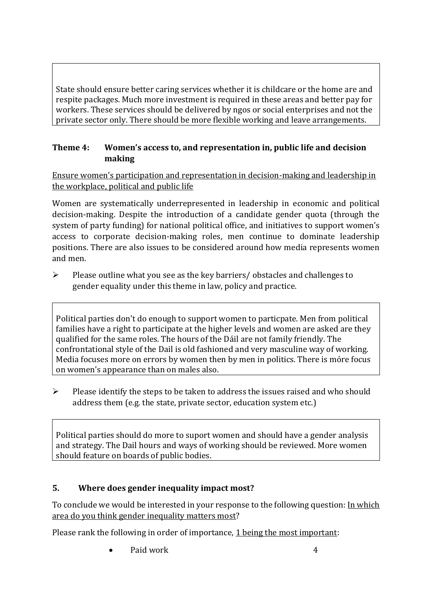State should ensure better caring services whether it is childcare or the home are and respite packages. Much more investment is required in these areas and better pay for workers. These services should be delivered by ngos or social enterprises and not the private sector only. There should be more flexible working and leave arrangements.

### **Theme 4: Women's access to, and representation in, public life and decision making**

Ensure women's participation and representation in decision-making and leadership in the workplace, political and public life

Women are systematically underrepresented in leadership in [economic](https://eige.europa.eu/gender-equality-index/2019/compare-countries/power/2/bar) and [political](https://eige.europa.eu/gender-equality-index/2019/compare-countries/power/1/bar)  [decision-](https://eige.europa.eu/gender-equality-index/2019/compare-countries/power/1/bar)making. Despite the introduction of a candidate gender quota (through the system of party funding) for national political office, and [initiatives](https://betterbalance.ie/) to support women's access to corporate decision-making roles, men continue to dominate leadership positions. There are also issues to be considered around how media represents women and men.

 $\triangleright$  Please outline what you see as the key barriers/ obstacles and challenges to gender equality under this theme in law, policy and practice.

Political parties don't do enough to support women to particpate. Men from political families have a right to participate at the higher levels and women are asked are they qualified for the same roles. The hours of the Dáil are not family friendly. The confrontational style of the Dail is old fashioned and very masculine way of working. Media focuses more on errors by women then by men in politics. There is móre focus on women's appearance than on males also.

➢ Please identify the steps to be taken to address the issues raised and who should address them (e.g. the state, private sector, education system etc.)

Political parties should do more to suport women and should have a gender analysis and strategy. The Dail hours and ways of working should be reviewed. More women should feature on boards of public bodies.

## **5. Where does gender inequality impact most?**

To conclude we would be interested in your response to the following question: In which area do you think gender inequality matters most?

Please rank the following in order of importance, 1 being the most important:

Paid work 4